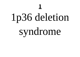# 1p36 deletion

**1**

# syndrome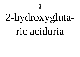# 2-hydroxygluta-

## ric aciduria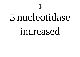## 5'nucleotidase

## increased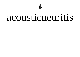## acousticneuritis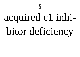# acquired c1 inhi-

# bitor deficiency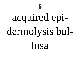

# acquired epidermolysis bul-

losa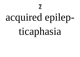# acquired epilep-

**7**

# ticaphasia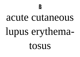### acute cutaneous

# lupus erythema-

tosus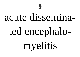

## acute dissemina-

# ted encephalomyelitis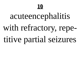## acuteencephalitis

### with refractory, repe-

### titive partial seizures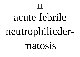# acute febrile neutrophilicder-

matosis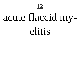# acute flaccid my-

## elitis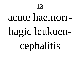

## acute haemorr-

# hagic leukoen-

cephalitis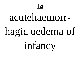

## acutehaemorr-

# hagic oedema of

infancy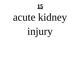# acute kidney

**15**

injury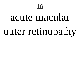

## acute macular

# outer retinopathy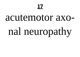# acutemotor axonal neuropathy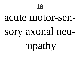

# acute motor-sensory axonal neu-

ropathy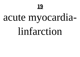## acute myocardia-

## linfarction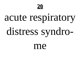

## acute respiratory

# distress syndro-

me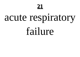# acute respiratory

failure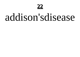## addison'sdisease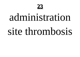

# administration site thrombosis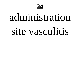

# administration site vasculitis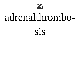

## adrenalthrombo-

### SİS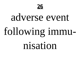

# adverse event following immu-

nisation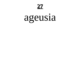# ageusia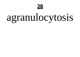

# agranulocytosis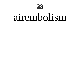

## airembolism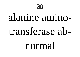

## alanine amino-

## transferase ab-

### normal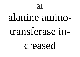## alanine amino-

## transferase in-

creased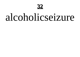

## alcoholicseizure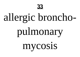

# allergic broncho-

# pulmonary

mycosis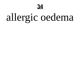

# allergic oedema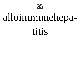

# alloimmunehepa-

titis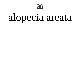

# alopecia areata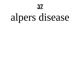# alpers disease

**37**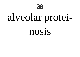

# alveolar protei-

nosis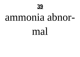

#### ammonia abnor-

#### mal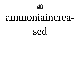

#### ammoniaincrea-

#### sed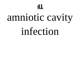#### amniotic cavity

#### infection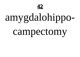

## amygdalohippo-

#### campectomy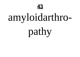

## amyloidarthro-

pathy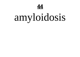

## amyloidosis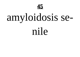

# amyloidosis se-

nile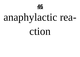

## anaphylactic rea-

ction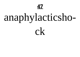

# anaphylacticsho-

 $C<sup>k</sup>$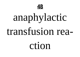

#### anaphylactic

#### transfusion rea-

ction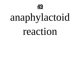

### anaphylactoid

reaction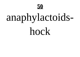

## anaphylactoids-

hock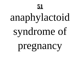## anaphylactoid

# syndrome of

#### pregnancy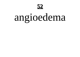

## angioedema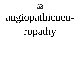

#### angiopathicneu-

ropathy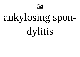

## ankylosing spon-

dylitis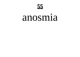

#### anosmia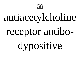

## antiacetylcholine

#### receptor antibo-

dypositive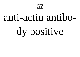#### anti-actin antibo-

# dy positive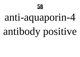

## anti-aquaporin-4

# antibody positive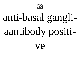

#### anti-basal gangli-

## aantibody positi-

Ve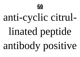

#### anti-cyclic citrul-

## linated peptide

antibody positive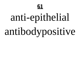

## anti-epithelial

# antibodypositive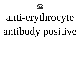

#### anti-erythrocyte

# antibody positive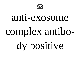

## anti-exosome complex antibo-

# dy positive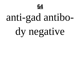

### anti-gad antibo-

## dy negative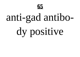

## anti-gad antibo-

# dy positive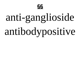

#### anti-ganglioside

# antibodypositive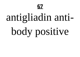

#### antigliadin anti-

# body positive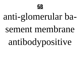

#### anti-glomerular ba-

#### sement membrane

#### antibodypositive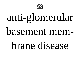

## anti-glomerular

#### basement mem-

#### brane disease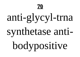## anti-glycyl-trna

#### synthetase anti-

## bodypositive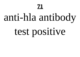#### anti-hla antibody

## test positive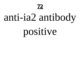#### anti-ia2 antibody

#### positive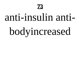

### anti-insulin anti-

# bodyincreased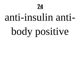

### anti-insulin anti-

# body positive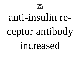# anti-insulin re-

# ceptor antibody

increased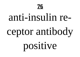

# anti-insulin re-

# ceptor antibody

# positive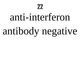# anti-interferon antibody negative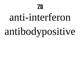

# anti-interferon antibodypositive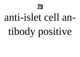

### anti-islet cell an-

# tibody positive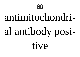

# antimitochondri-

# al antibody posi-

tive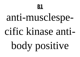# anti-musclespe-

### cific kinase anti-

# body positive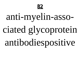

### anti-myelin-asso-

## ciated glycoprotein

### antibodiespositive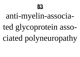

#### anti-myelin-associa-

ted glycoprotein associated polyneuropathy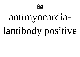

# antimyocardia-

# lantibody positive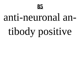

# anti-neuronal antibody positive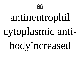

# antineutrophil

# cytoplasmic anti-

# bodyincreased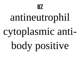

# antineutrophil

# cytoplasmic anti-

body positive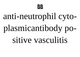

# anti-neutrophil cytoplasmicantibody po-

#### sitive vasculitis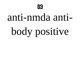

### anti-nmda anti-

# body positive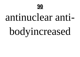

### antinuclear anti-

# bodyincreased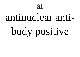# antinuclear anti-

# body positive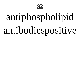

# antiphospholipid

# antibodiespositive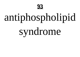

# antiphospholipid

syndrome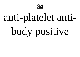

# anti-platelet anti-

# body positive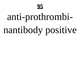

# anti-prothrombinantibody positive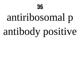

# antiribosomal p

# antibody positive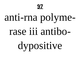

# anti-rna polyme-

### rase iii antibo-

# dypositive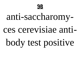

# anti-saccharomy-

#### ces cerevisiae anti-

## body test positive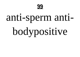

# anti-sperm anti-

# bodypositive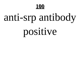

# anti-srp antibody

# positive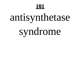# antisynthetase

# syndrome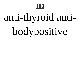# anti-thyroid anti-

# bodypositive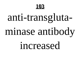# anti-transglutaminase antibody

increased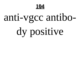

# anti-vgcc antibo-

# dy positive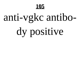# anti-vgkc antibo-

# dy positive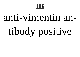# anti-vimentin antibody positive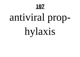# antiviral prop-

hylaxis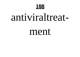

### antiviraltreat-

#### ment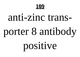

# anti-zinc transporter 8 antibody

# positive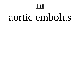### aortic embolus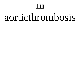### aorticthrombosis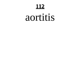#### aortitis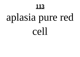# aplasia pure red

cell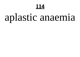# aplastic anaemia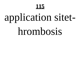# application sitet-

### hrombosis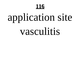# application site

### vasculitis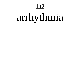# arrhythmia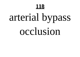# arterial bypass

#### occlusion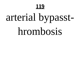# arterial bypasst-

### hrombosis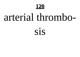

### arterial thrombo-

#### SIS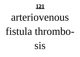# arteriovenous fistula thrombo-

sis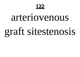

### arteriovenous

# graft sitestenosis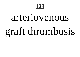

# arteriovenous

### graft thrombosis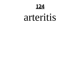**124**

#### arteritis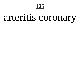

# arteritis coronary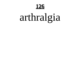

# arthralgia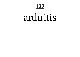**127**

#### arthritis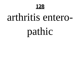

### arthritis entero-

pathic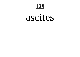

#### ascites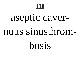

# aseptic caver-

#### nous sinusthrom-

### bosis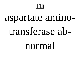# aspartate amino-

### transferase ab-

#### normal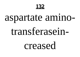

# aspartate amino-

### transferasein-

creased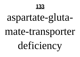

## aspartate-gluta-

### mate-transporter

# deficiency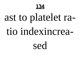

# ast to platelet ra-

#### tio indexincrea-

sed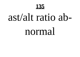### ast/alt ratio ab-

#### normal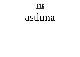

### asthma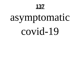# asymptomatic

covid-19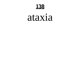

#### ataxia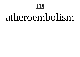

### atheroembolism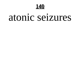

#### atonic seizures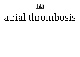### atrial thrombosis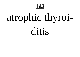142

# atrophic thyroi-

ditis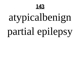

# atypicalbenign

# partial epilepsy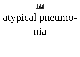

# atypical pneumo-

nia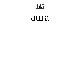145

#### aura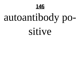

# autoantibody po-

sitive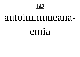#### autoimmuneana-

#### emia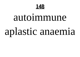

### autoimmune

# aplastic anaemia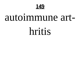

### autoimmune art-

hritis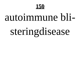

### autoimmune bli-

# steringdisease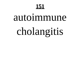#### autoimmune

# cholangitis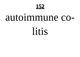

### autoimmune co-

litis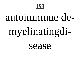

### autoimmune de-

# myelinatingdi-

sease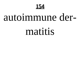

### autoimmune der-

#### matitis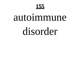### autoimmune

### disorder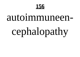

# autoimmuneencephalopathy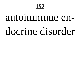# autoimmune endocrine disorder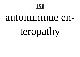

#### autoimmune en-

## teropathy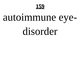

## autoimmune eye-

### disorder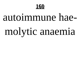

# autoimmune hae-

# molytic anaemia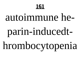

## autoimmune he-

# parin-inducedt-

# hrombocytopenia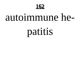

### autoimmune he-

## patitis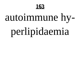

# autoimmune hy-

# perlipidaemia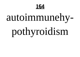

# autoimmunehy-

# pothyroidism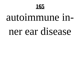

# autoimmune inner ear disease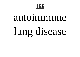

# autoimmune lung disease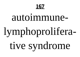

### autoimmune-

# lymphoprolifera-

tive syndrome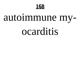

## autoimmune my-

#### ocarditis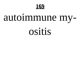

## autoimmune my-

#### OSİtİS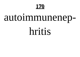## autoimmunenep-

hritis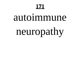### autoimmune

# neuropathy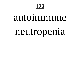#### autoimmune

## neutropenia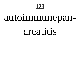## autoimmunepan-

#### creatitis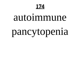#### autoimmune

## pancytopenia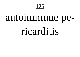## autoimmune pe-

#### ricarditis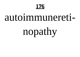### autoimmunereti-

## nopathy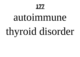# autoimmune thyroid disorder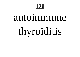#### autoimmune

# thyroiditis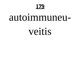

### autoimmuneu-

veitis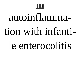

### autoinflamma-

### tion with infanti-

### le enterocolitis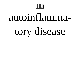# autoinflammatory disease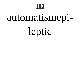

# automatismepi-

leptic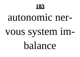

## autonomic ner-

# vous system imbalance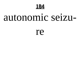

## autonomic seizu-

re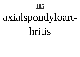# axialspondyloart-

hritis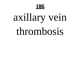

# axillary vein

## thrombosis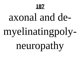## axonal and de-

# myelinatingpoly-

neuropathy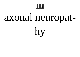

## axonal neuropat-

hy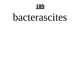

## bacterascites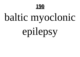

# baltic myoclonic

# epilepsy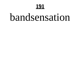### <u>191</u>

## bandsensation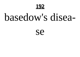

## basedow's disea-

**Se**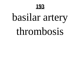

# basilar artery

## thrombosis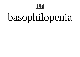

# basophilopenia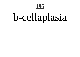# b-cellaplasia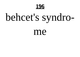

# behcet's syndro-

me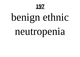# benign ethnic

# neutropenia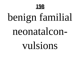

# benign familial

### neonatalcon-

## vulsions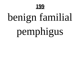

# benign familial

# pemphigus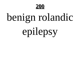

# benign rolandic

# epilepsy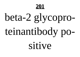## beta-2 glycopro-

# teinantibody po-

sitive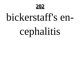## bickerstaff's en-

# cephalitis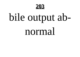

# bile output ab-

## normal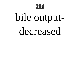

# bile output-

## decreased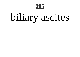# biliary ascites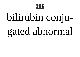

# bilirubin conju-

# gated abnormal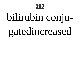# bilirubin conju-

# gatedincreased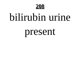

## bilirubin urine

## present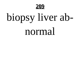

# biopsy liver ab-

## normal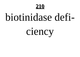

## biotinidase defi-

ciency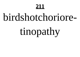## birdshotchoriore-

# tinopathy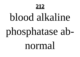## blood alkaline

# phosphatase ab-

## normal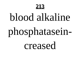## blood alkaline

# phosphatasein-

creased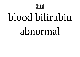

## blood bilirubin

## abnormal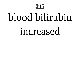## blood bilirubin

## increased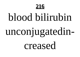

## blood bilirubin

# unconjugatedin-

creased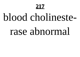#### **217**

#### blood cholineste-

#### rase abnormal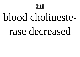

#### blood cholineste-

#### rase decreased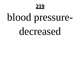

## blood pressure-

decreased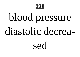

## blood pressure

#### diastolic decrea-

sed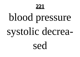

## blood pressure

### systolic decrea-

sed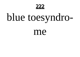222

## blue toesyndro-

me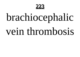

## brachiocephalic

#### vein thrombosis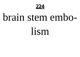**224**

#### brain stem embo-

lism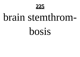

#### brain stemthrom-

bosis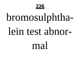

## bromosulphtha-

#### lein test ahnor-

#### mal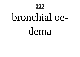

#### bronchial oe-

dema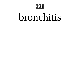

#### bronchitis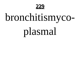

## bronchitismyco-

## plasmal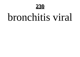

#### bronchitis viral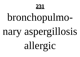#### **231**

## bronchopulmo-

# nary aspergillosis

allergic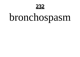

## bronchospasm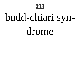

## budd-chiari syn-

drome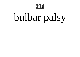

## bulbar palsy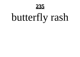

## butterfly rash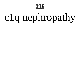

## c1q nephropathy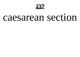

#### caesarean section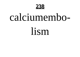

#### calciumembo-

lism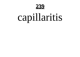

## capillaritis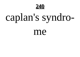

## caplan's syndro-

me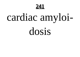

## cardiac amyloi-

dosis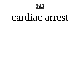**242**

#### cardiac arrest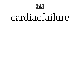

#### cardiacfailure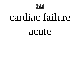

#### cardiac failure

acute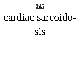

#### cardiac sarcoido-

#### SİS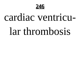

#### cardiac ventricu-

#### lar thrombosis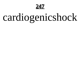**247**

## cardiogenicshock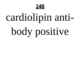

## cardiolipin anti-

## body positive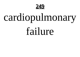

## cardiopulmonary

failure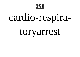

## cardio-respira-

#### toryarrest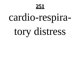

## cardio-respira-

## tory distress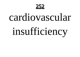

#### cardiovascular

## insufficiency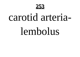

#### carotid arteria-

#### lembolus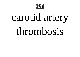

## carotid artery

#### thrombosis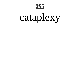

## cataplexy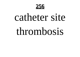

#### catheter site

#### thrombosis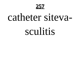

# catheter siteva-

#### sculitis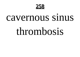

#### cavernous sinus

#### thrombosis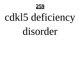

## cdkl5 deficiency

#### disorder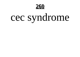

## cec syndrome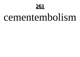#### 261

#### cementembolism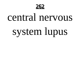

## central nervous

## system lupus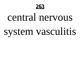

# central nervous system vasculitis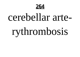

### cerebellar arte-

## rythrombosis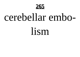

## cerebellar embo-

lism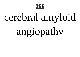

## cerebral amyloid

## angiopathy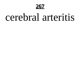

#### cerebral arteritis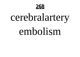

## cerebralartery

#### embolism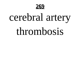

## cerebral artery

#### thrombosis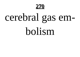

# cerebral gas em-

bolism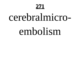#### **271**

#### cerebralmicro-

#### embolism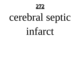

## cerebral septic

infarct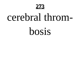

### cerebral throm-

bosis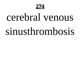

## cerebral venous

#### sinusthrombosis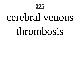#### **275**

#### cerebral venous

#### thrombosis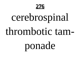

## cerebrospinal

#### thrombotic tam-

## ponade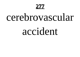#### **277**

### cerebrovascular

#### accident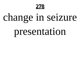

## change in seizure

## presentation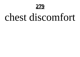

### chest discomfort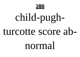

## child-pughturcotte score ab-

#### normal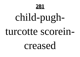

# child-pugh-

#### turcotte scorein-

#### creased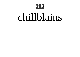

#### chillblains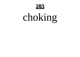

## choking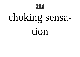

## choking sensa-

tion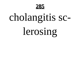

## cholangitis sc-

## lerosing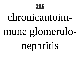

# chronicautoimmune glomerulo-

nephritis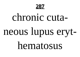

## chronic cutaneous lupus eryt-

hematosus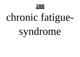

## chronic fatigue-

## syndrome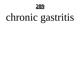

# chronic gastritis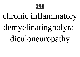

# chronic inflammatory

#### demyelinatingpolyra-

diculoneuropathy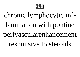#### chronic lymphocytic inflammation with pontine perivascularenhancement responsive to steroids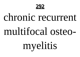

# chronic recurrent multifocal osteo-

# myelitis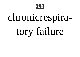

# chronicrespira-

# tory failure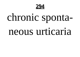

# chronic sponta-

#### neous urticaria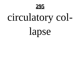

# circulatory col-

lapse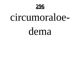

### circumoraloe-

dema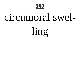

### circumoral swel-

ling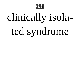

# clinically isola-

# ted syndrome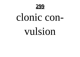

# clonic convulsion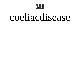

### coeliacdisease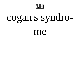# cogan's syndro-

me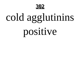

# cold agglutinins

# positive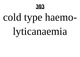

# cold type haemo-

# lyticanaemia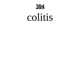

### colitis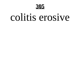### colitis erosive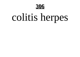

# colitis herpes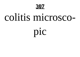### colitis microsco-

pic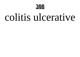

### colitis ulcerative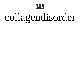

# collagendisorder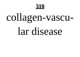## collagen-vascu-

### lar disease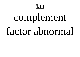# complement

### factor abnormal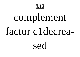# complement

### factor c1decrea-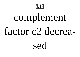# complement

### factor c2 decrea-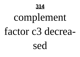

# complement

#### factor c3 decrea-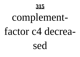## complement-

### factor c4 decrea-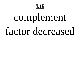# complement

### factor decreased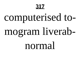# computerised to-

# mogram liverab-

#### normal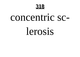

### concentric sc-

### lerosis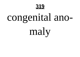# congenital ano-

maly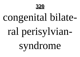

# congenital bilate-

# ral perisylvian-

syndrome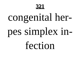

# congenital her-

# pes simplex in-

fection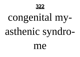

## congenital my-

# asthenic syndro-

me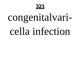

# congenitalvaricella infection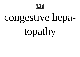324

# congestive hepa-

topathy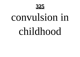

### convulsion in

### childhood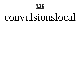

### convulsionslocal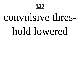

## convulsive thres-

### hold lowered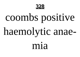

### coombs positive

### haemolytic anae-

mia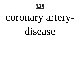

### coronary artery-

disease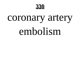

### coronary artery

### embolism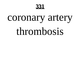

### coronary artery

### thrombosis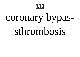

### coronary bypas-

### sthrombosis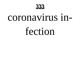

### coronavirus in-

### fection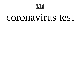

### coronavirus test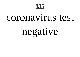

### coronavirus test

## negative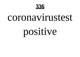

### coronavirustest

## positive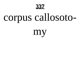

## corpus callosoto-

my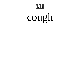

## cough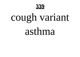

## cough variant

asthma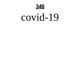

### covid-19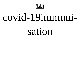

### covid-19immuni-

#### sation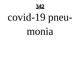

## covid-19 pneu-

#### monia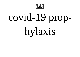

## covid-19 prop-

hylaxis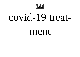344

### covid-19 treat-

#### ment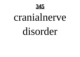

### cranialnerve

### disorder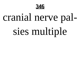

## cranial nerve pal-

## sies multiple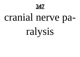

## cranial nerve pa-

ralysis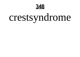

## crestsyndrome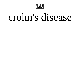

### crohn's disease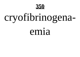

## cryofibrinogena-

#### emia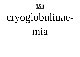#### 351

# cryoglobulinae-

#### mia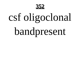

# csf oligoclonal

## bandpresent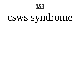

## csws syndrome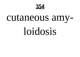

### cutaneous amy-

### loidosis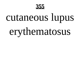

## cutaneous lupus

## erythematosus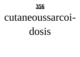

#### cutaneoussarcoi-

dosis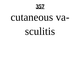

### cutaneous vasculitis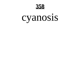

### cyanosis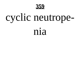

# cyclic neutrope-

#### nia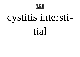

## cystitis intersti-

tial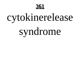

# cytokinerelease

## syndrome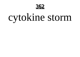

# cytokine storm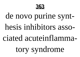

### de novo purine synthesis inhibitors associated acuteinflammatory syndrome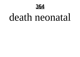

#### death neonatal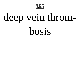

# deep vein throm-

bosis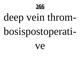

# deep vein throm-

# bosispostoperati-

Ve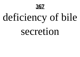

# deficiency of bile

#### secretion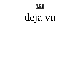

### deja vu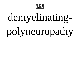

### demyelinating-

# polyneuropathy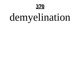#### 370

# demyelination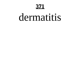#### **371**

#### dermatitis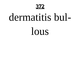

#### dermatitis bul-

lous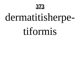

# dermatitisherpe-

#### tiformis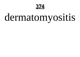**374**

### dermatomyositis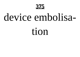#### 375

### device embolisa-

tion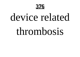

### device related

#### thrombosis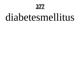#### 377

#### diabetesmellitus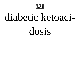

### diabetic ketoaci-

dosis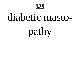

#### diabetic masto-

pathy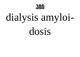

## dialysis amyloi-

dosis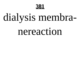

# dialysis membra-

#### nereaction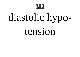

# diastolic hypo-

#### tension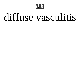

### diffuse vasculitis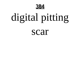

# digital pitting

scar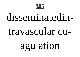

### disseminatedin-

#### travascular co-

### agulation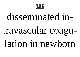

# disseminated in-

#### travascular coagu-

lation in newborn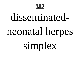

# disseminatedneonatal herpes

### simplex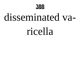

#### disseminated va-

#### ricella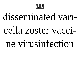

#### disseminated vari-

#### cella zoster vacci-

#### ne virusinfection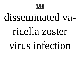

#### disseminated va-

#### ricella zoster

#### virus infection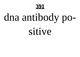#### 391

# dna antibody po-

sitive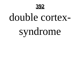

### double cortex-

# syndrome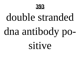

# double stranded dna antibody po-

sitive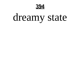

### dreamy state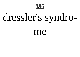

# dressler's syndro-

me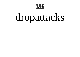

### dropattacks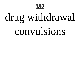#### **397**

# drug withdrawal

#### convulsions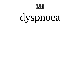

### dyspnoea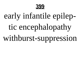

#### early infantile epilep-

#### tic encephalopathy

withburst-suppression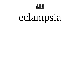

## eclampsia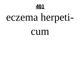

## eczema herpeti-

CUM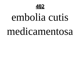

## embolia cutis

#### medicamentosa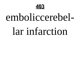

#### emboliccerebel-

#### lar infarction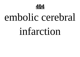

#### embolic cerebral

#### infarction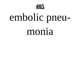

## embolic pneu-

#### monia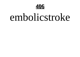

#### embolicstroke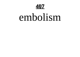

#### embolism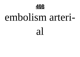

#### embolism arteri-

 $\overline{a}$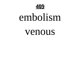

#### embolism

#### venous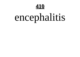

## encephalitis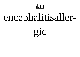#### 411

## encephalitisaller-

gic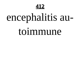

## encephalitis au-

#### toimmune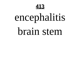

## encephalitis

#### brain stem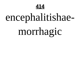

## encephalitishae-

### morrhagic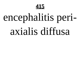

## encephalitis periaxialis diffusa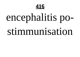

## encephalitis po-

#### stimmunisation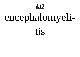#### 417

## encephalomyeli-

tis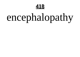

## encephalopathy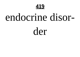

#### endocrine disor-

der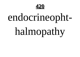

## endocrineopht-

## halmopathy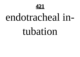

#### endotracheal in-

#### tubation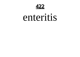**422**

#### enteritis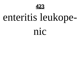

## enteritis leukope-

nic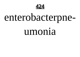424

## enterobacterpne-

#### umonia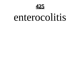

#### enterocolitis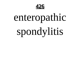

## enteropathic spondylitis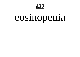**427**

### eosinopenia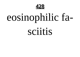

## eosinophilic fa-

sciitis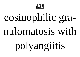

## eosinophilic gra-

#### nulomatosis with

## polyangiitis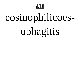

## eosinophilicoes-

## ophagitis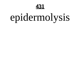

## epidermolysis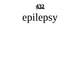

## epilepsy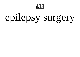

### epilepsy surgery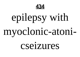

### epilepsy with

### myoclonic-atoni-

#### cseizures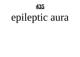

### epileptic aura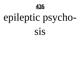

# epileptic psycho-

sis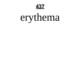437

### erythema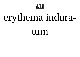

### erythema indura-

tum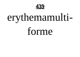

# erythemamulti-

forme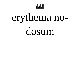

### erythema no-

dosum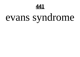

### evans syndrome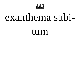

### exanthema subi-

tum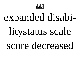

# expanded disabi-

### litystatus scale

#### score decreased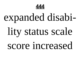

# expanded disabi-

### lity status scale

#### score increased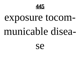

### exposure tocom-

### municable disea-

**Se**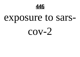

### exposure to sars-

 $COV-2$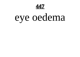**447**

### eye oedema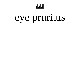

### eye pruritus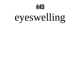

### eyeswelling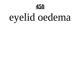

# eyelid oedema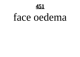

### face oedema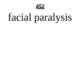

### facial paralysis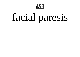

### facial paresis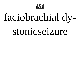

# faciobrachial dy-

#### stonicseizure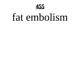

### fat embolism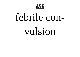

# febrile con-

#### vulsion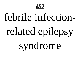

### febrile infection-

### related epilepsy

syndrome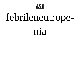

# febrileneutrope-

#### nia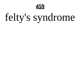

# felty's syndrome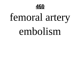

# femoral artery

### embolism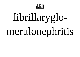

# fibrillaryglo-

### merulonephritis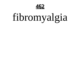

# fibromyalgia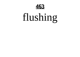

### flushing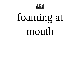

# foaming at mouth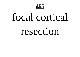

### focal cortical

#### resection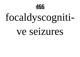

### focaldyscogniti-

#### ve seizures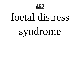

### foetal distress

# syndrome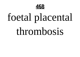

### foetal placental

#### thrombosis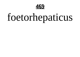

### foetorhepaticus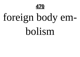

# foreign body em-

bolism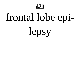

#### frontal lobe epi-

lepsy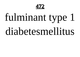472

#### fulminant type 1 diabetesmellitus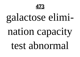

#### galactose elimi-

## nation capacity

test abnormal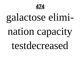

#### galactose elimi-

#### nation capacity

testdecreased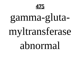

### gamma-gluta-

#### myltransferase

#### abnormal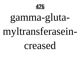

#### gamma-gluta-

#### myltransferasein-

#### creased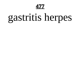**477**

#### gastritis herpes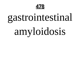

#### gastrointestinal

## amyloidosis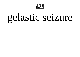

#### gelastic seizure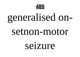

### generalised on-

#### setnon-motor

#### seizure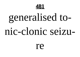

## generalised to-

#### nic-clonic seizu-

re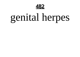

### genital herpes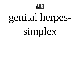

### genital herpes-

#### simplex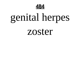

#### genital herpes

#### zoster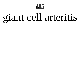

### giant cell arteritis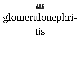

tis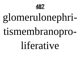

#### tismembranopro-

#### liferative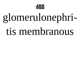

#### tis membranous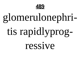

### tis rapidlyprog-

ressive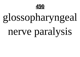

# glossopharyngeal

#### nerve paralysis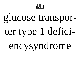

# glucose transporter type 1 defici-

encysyndrome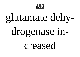

#### glutamate dehy-

#### drogenase in-

creased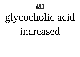

## glycocholic acid

#### increased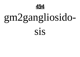

### gm2gangliosido-SIS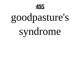

#### goodpasture's

#### syndrome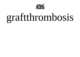

### graftthrombosis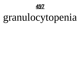

#### granulocytopenia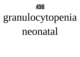

#### granulocytopenia

#### neonatal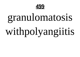

#### granulomatosis

### withpolyangiitis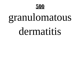

### granulomatous

#### dermatitis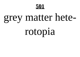#### 501

#### grey matter hete-

#### rotopia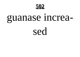

## guanase increa-

#### sed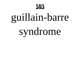

## guillain-barre

#### syndrome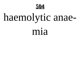

#### haemolytic anae-

#### mia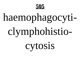

## haemophagocyti-

## clymphohistio-

cytosis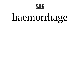

## haemorrhage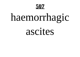## haemorrhagic

#### ascites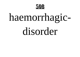

## haemorrhagic-

#### disorder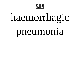

# haemorrhagic

#### pneumonia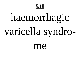## haemorrhagic varicella syndro-

me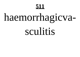## haemorrhagicva-

#### sculitis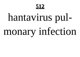## hantavirus pulmonary infection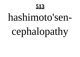## hashimoto'sencephalopathy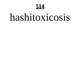

#### hashitoxicosis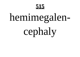## hemimegalen-

## cephaly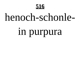#### henoch-schonle-

## in purpura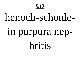#### henoch-schonle-

#### in purpura nephritis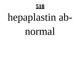

## hepaplastin ab-

#### normal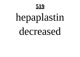

## hepaplastin

#### decreased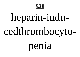

## heparin-indu-

### cedthrombocyto-

#### penia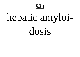

## hepatic amyloi-

dosis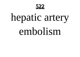**522**

### hepatic artery

#### embolism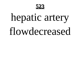

## hepatic artery

#### flowdecreased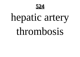

### hepatic artery

#### thrombosis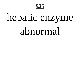

#### hepatic enzyme

#### abnormal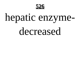

#### hepatic enzyme-

#### decreased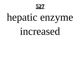**527**

#### hepatic enzyme

increased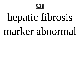

## hepatic fibrosis

#### marker abnormal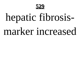

## hepatic fibrosis-

#### marker increased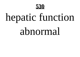

## hepatic function

#### abnormal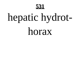

## hepatic hydrot-

horax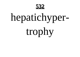

### hepatichyper-

trophy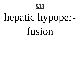

## hepatic hypoper-

fusion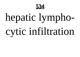

### hepatic lympho-

## cytic infiltration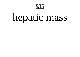

### hepatic mass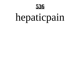

### hepaticpain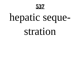

## hepatic seque-

#### stration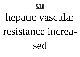

## hepatic vascular

#### resistance increa-

sed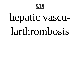

## hepatic vascu-

#### larthrombosis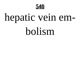

## hepatic vein em-

#### bolism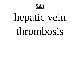

#### hepatic vein

#### thrombosis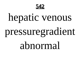**542**

### hepatic venous

### pressuregradient

abnormal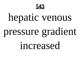

### hepatic venous

#### pressure gradient

increased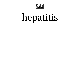

#### hepatitis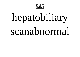

### hepatobiliary

#### scanabnormal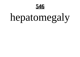

### hepatomegaly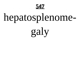

### hepatosplenome-

galy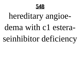

#### hereditary angioedema with c1 esteraseinhibitor deficiency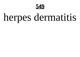

## herpes dermatitis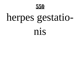

# herpes gestatio-

nis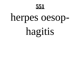

#### herpes oesop-

hagitis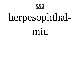

### herpesophthal-

mic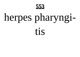

### herpes pharyngi-

tis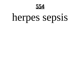

### herpes sepsis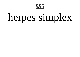**555**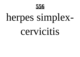

#### cervicitis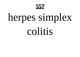

#### colitis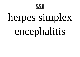

## encephalitis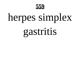

#### gastritis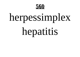

#### hepatitis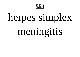

#### meningitis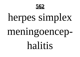

# meningoencep-

#### halitis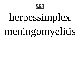

### meningomyelitis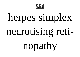

#### necrotising reti-

### nopathy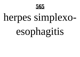

## esophagitis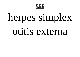

#### otitis externa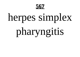

### pharyngitis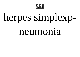

#### neumonia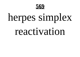

#### reactivation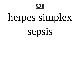

sepsis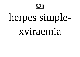#### 571

### herpes simple-

#### xviraemia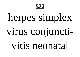**572**

#### virus conjuncti-

vitis neonatal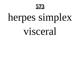

#### visceral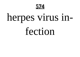

### herpes virus in-

#### fection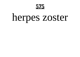#### 575

#### herpes zoster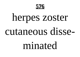

# herpes zoster

#### cutaneous disse-

#### minated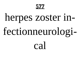#### 577

### herpes zoster in-

### fectionneurologi-

 $ca<sup>1</sup>$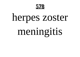

### herpes zoster

### meningitis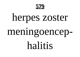

### herpes zoster

# meningoencep-

### halitis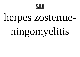

### herpes zosterme-

# ningomyelitis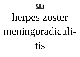

### herpes zoster

# meningoradiculi-

tis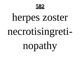

### herpes zoster

### necrotisingreti-

### nopathy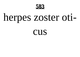

### herpes zoster oti-

CUS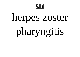

### herpes zoster

# pharyngitis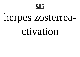

### herpes zosterrea-

### ctivation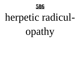

# herpetic radicul-

opathy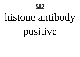

### histone antibody

### positive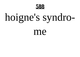

# hoigne's syndro-

me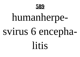

# humanherpe-

### svirus 6 encepha-

litis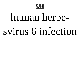

# human herpesvirus 6 infection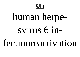

### human herpe-

#### svirus 6 in-

fectionreactivation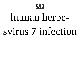

# human herpesvirus 7 infection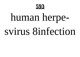

# human herpe-

### svirus 8infection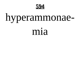

### hyperammonae-

#### mia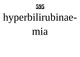

# hyperbilirubinae-

#### mia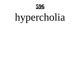

# hypercholia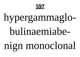

# hypergammaglo-

### bulinaemiabe-

### nign monoclonal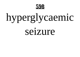

# hyperglycaemic

seizure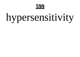

# hypersensitivity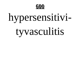

## hypersensitivi-

### tyvasculitis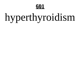#### **601**

# hyperthyroidism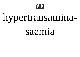

## hypertransamina-

#### saemia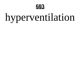

# hyperventilation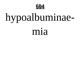

# hypoalbuminae-

#### mia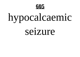

# hypocalcaemic

#### seizure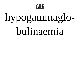

# hypogammaglo-

### bulinaemia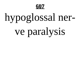

# hypoglossal ner-

# ve paralysis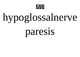

# hypoglossalnerve

### paresis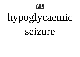

# hypoglycaemic

seizure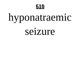

## hyponatraemic

#### seizure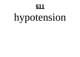#### **611**

## hypotension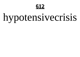

# hypotensivecrisis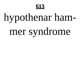

# hypothenar ham-

# mer syndrome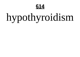

# hypothyroidism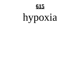#### **615**

### hypoxia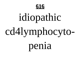

### idiopathic

# cd4lymphocyto-

penia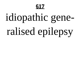#### **617**

# idiopathic generalised epilepsy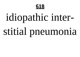

# idiopathic inter-

# stitial pneumonia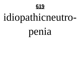

# idiopathicneutro-

### penia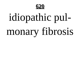

# idiopathic pulmonary fibrosis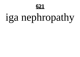

# iga nephropathy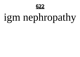

# igm nephropathy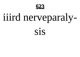

# iiird nerveparaly-

#### SIS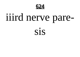

# iiird nerve pare-

#### SIS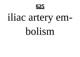

### iliac artery em-

#### bolism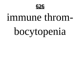

#### immune throm-

# bocytopenia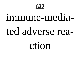

# immune-mediated adverse rea-

ction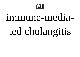

# immune-mediated cholangitis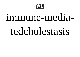

#### tedcholestasis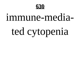

# ted cytopenia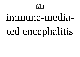

# immune-mediated encephalitis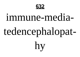

# immune-mediatedencephalopathy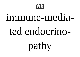

### immune-mediated endocrino-

pathy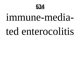

# immune-mediated enterocolitis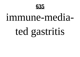

# ted gastritis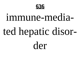

# immune-mediated hepatic disorder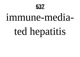

# ted hepatitis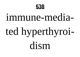

# ted hyperthyroidism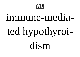

# immune-mediated hypothyroi-

dism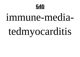

# immune-mediatedmyocarditis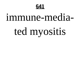

# ted myositis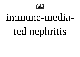

# ted nephritis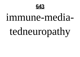

# tedneuropathy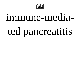

# immune-mediated pancreatitis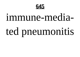

# immune-mediated pneumonitis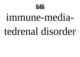

# immune-mediatedrenal disorder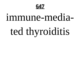

# ted thyroiditis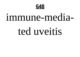

#### ted uveitis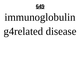

# immunoglobulin g4related disease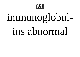

# immunoglobul-

#### ins abnormal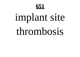

# implant site

#### thrombosis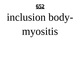

# inclusion body-

# myositis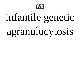

# infantile genetic

# agranulocytosis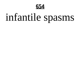

# infantile spasms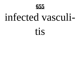

#### infected vasculi-

#### tis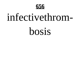

#### infectivethrom-

bosis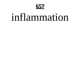

#### inflammation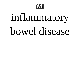

## inflammatory bowel disease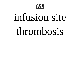

#### infusion site

#### thrombosis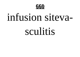

#### infusion siteva-

#### sculitis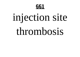

## injection site

#### thrombosis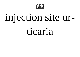

# injection site ur-

#### ticaria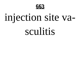

# injection site va-

#### sculitis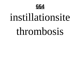

#### instillationsite

#### thrombosis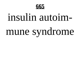

# insulin autoimmune syndrome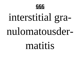

# interstitial granulomatousder-

#### matitis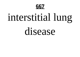

# interstitial lung

#### disease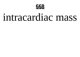

#### intracardiac mass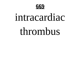

#### intracardiac

#### thrombus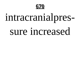

# intracranialpres-

#### sure increased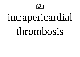#### **671**

# intrapericardial

#### thrombosis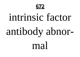

# intrinsic factor antibody abnor-

mal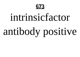

# intrinsicfactor

# antibody positive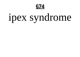

# ipex syndrome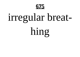

# irregular breat-

hing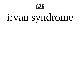

# irvan syndrome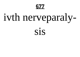

# ivth nerveparaly-

#### SİS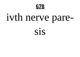

# ivth nerve pare-

SIS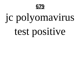

# jc polyomavirus

# test positive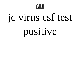

# jc virus csf test

# positive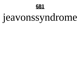

# jeavonssyndrome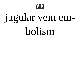

# jugular vein em-

#### bolism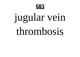

# jugular vein

#### thrombosis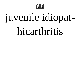

# juvenile idiopat-

#### hicarthritis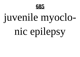

## juvenile myoclo-

## nic epilepsy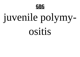

## juvenile polymy-

ositis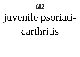

## juvenile psoriati-

### carthritis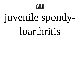

## juvenile spondy-

### loarthritis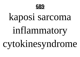

## kaposi sarcoma

### inflammatory

## cytokinesyndrome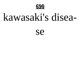

### kawasaki's disea-

**Se**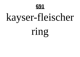

## kayser-fleischer

## ring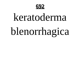

## keratoderma blenorrhagica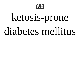

# ketosis-prone

#### diabetes mellitus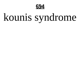

## kounis syndrome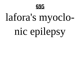

## lafora's myoclo-

## nic epilepsy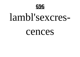

### lambl'sexcres-

#### cences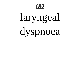

## laryngeal

## dyspnoea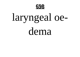

## laryngeal oe-

dema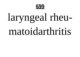

## laryngeal rheu-

### matoidarthritis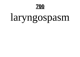

## laryngospasm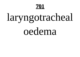## laryngotracheal

oedema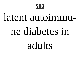

## latent autoimmu-

### ne diabetes in

### adults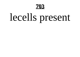

## lecells present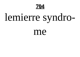

## lemierre syndro-

me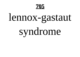## lennox-gastaut

## syndrome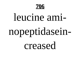

### leucine ami-

## nopeptidasein-

creased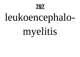## leukoencephalo-

## myelitis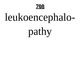

## leukoencephalo-

pathy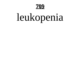

## leukopenia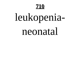

## leukopenia-

### neonatal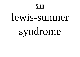## lewis-sumner

## syndrome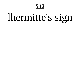#### <u>712</u>

## lhermitte's sign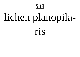## lichen planopila-

#### ris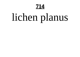## lichen planus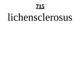### lichensclerosus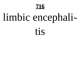## limbic encephali-

#### tis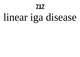## linear iga disease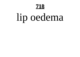## lip oedema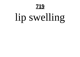#### <u>719</u>

## lip swelling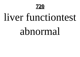

### liver functiontest

### abnormal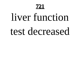#### **721**

#### liver function test decreased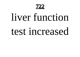**722**

### liver function

#### test increased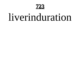

#### liverinduration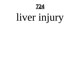<u>724</u>

## liver injury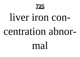725

#### liver iron concentration abnor-

mal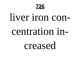

#### liver iron con-

#### centration in-

creased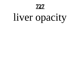**727**

## liver opacity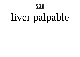

## liver palpable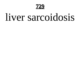

#### liver sarcoidosis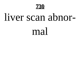

#### liver scan abnor-

#### mal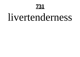#### 731

#### livertenderness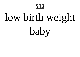

#### low birth weight

baby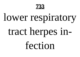

#### lower respiratory

#### tract herpes in-

fection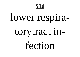

#### lower respira-

#### torytract in-

fection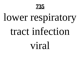

#### lower respiratory

#### tract infection

#### viral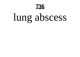

## lung abscess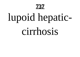

## lupoid hepatic-

#### cirrhosis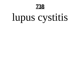

### lupus cystitis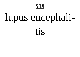

## lupus encephali-

tis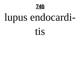

## lupus endocardi-

tis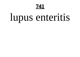#### **741**

## lupus enteritis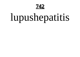**742**

## lupushepatitis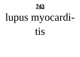

## lupus myocardi-

tis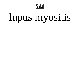

### lupus myositis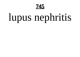

## lupus nephritis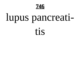

### lupus pancreati-

#### tis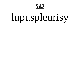#### 747

## lupuspleurisy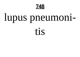

## lupus pneumoni-

tis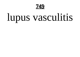

## lupus vasculitis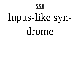

## lupus-like syn-

#### drome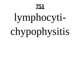#### **751**

### lymphocyti-

## chypophysitis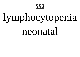**752**

#### lymphocytopenia

#### neonatal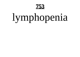

## lymphopenia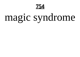**754**

### magic syndrome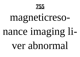

#### magneticreso-

#### nance imaging li-

#### ver abnormal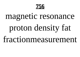

# magnetic resonance proton density fat

fractionmeasurement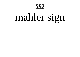757

### mahler sign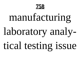

### manufacturing laboratory analy-

### tical testing issue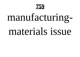

# manufacturing-

#### materials issue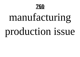

## manufacturing production issue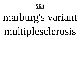

### marburg's variant

### multiplesclerosis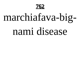

### marchiafava-big-

#### nami disease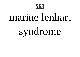

#### marine lenhart

### syndrome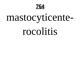

### mastocyticente-

#### rocolitis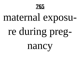

### maternal exposu-

## re during preg-

nancy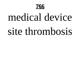

### medical device

#### site thrombosis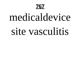

### medicaldevice site vasculitis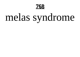

### melas syndrome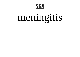

### meningitis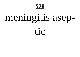770

### meningitis asep-

tic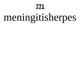#### **771**

### meningitisherpes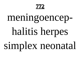**772**

### meningoencep-

### halitis herpes

simplex neonatal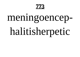773

### meningoencep-

### halitisherpetic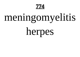**774**

### meningomyelitis

herpes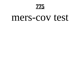775

#### mers-cov test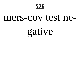776

#### mers-cov test ne-

gative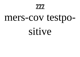777

#### mers-cov testpo-

sitive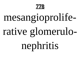

### mesangioprolife-

### rative glomerulo-

nephritis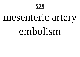

### mesenteric artery

#### embolism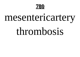

### mesentericartery

#### thrombosis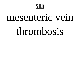#### **781**

#### mesenteric vein

#### thrombosis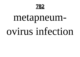**782**

### metapneum-

#### ovirus infection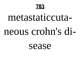

### metastaticcutaneous crohn's di-

sease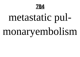784

# metastatic pulmonaryembolism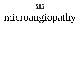

### microangiopathy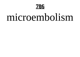

#### microembolism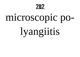

### microscopic po-

### lyangiitis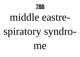

#### middle eastre-

### spiratory syndro-

me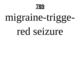

### migraine-trigge-

#### red seizure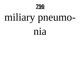

### miliary pneumo-

nia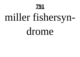

### miller fishersyn-

drome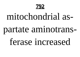

#### mitochondrial as-

#### partate aminotrans-

#### ferase increased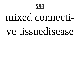

#### mixed connective tissuedisease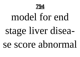

## model for end stage liver disease score abnormal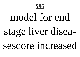

## model for end stage liver disea-

#### sescore increased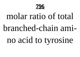

#### molar ratio of total branched-chain amino acid to tyrosine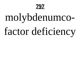

# molybdenumco-

#### factor deficiency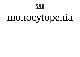

#### monocytopenia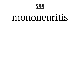

#### mononeuritis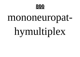

#### mononeuropat-

## hymultiplex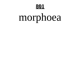#### 801

### morphoea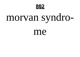

#### morvan syndro-

me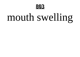

#### mouth swelling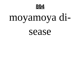

#### moyamoya di-

#### sease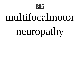

#### multifocalmotor

## neuropathy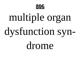

### multiple organ

## dysfunction syn-

#### drome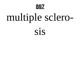

## multiple sclero-

#### SIS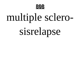

## multiple sclero-

#### sisrelapse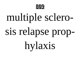

## multiple sclero-

# sis relapse prop-

hylaxis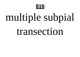

## multiple subpial

#### transection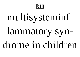#### 811

## multisysteminf-

## lammatory syndrome in children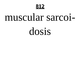

#### muscular sarcoi-

dosis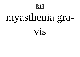

## myasthenia gra-

#### vis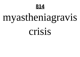

### myastheniagravis

crisis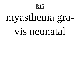#### 815

### myasthenia gra-

#### vis neonatal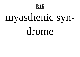

## myasthenic syn-

drome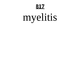#### 817

### myelitis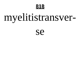

## myelitistransver-

#### **Se**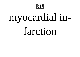

## myocardial in-

#### farction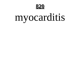

#### myocarditis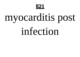

### myocarditis post

#### infection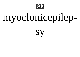

## myoclonicepilep-

SV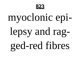

### myoclonic epi-

# lepsy and ragged-red fibres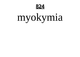824

### myokymia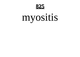**825**

#### myositis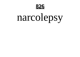

#### narcolepsy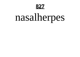

## nasalherpes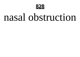

#### nasal obstruction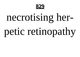

### necrotising her-

### petic retinopathy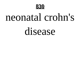

#### neonatal crohn's

#### disease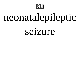

### neonatalepileptic

seizure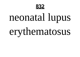

### neonatal lupus

### erythematosus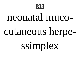

### neonatal mucocutaneous herpe-

### ssimplex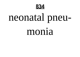

### neonatal pneu-

#### monia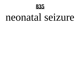

#### neonatal seizure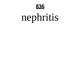

### nephritis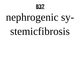

### nephrogenic sy-

#### stemicfibrosis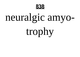

### neuralgic amyo-

trophy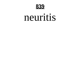

#### neuritis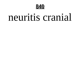

#### neuritis cranial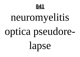

### neuromyelitis

## optica pseudore-

lapse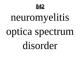

### neuromyelitis

# optica spectrum

#### disorder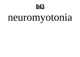

### neuromyotonia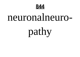

#### neuronalneuro-

pathy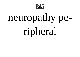

### neuropathy pe-

ripheral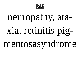

#### neuropathy, ata-

#### xia, retinitis pig-

mentosasyndrome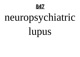

### neuropsychiatric

lupus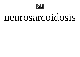

#### neurosarcoidosis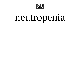

### neutropenia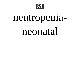

### neutropenia-

#### neonatal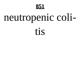

### neutropenic coli-

tis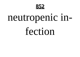

### neutropenic in-

fection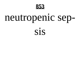

## neutropenic sep-

SIS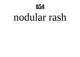

#### nodular rash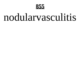

#### nodularvasculitis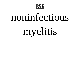

### noninfectious

### myelitis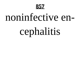

#### noninfective en-

### cephalitis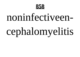

### noninfectiveencephalomyelitis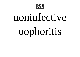

#### noninfective

### oophoritis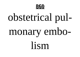

### obstetrical pulmonary embo-

lism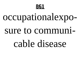

#### occupationalexpo-

#### sure to communi-

#### cable disease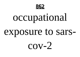

### occupational

#### exposure to sars-

 $COV-2$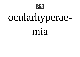

### ocularhyperae-

#### mia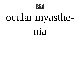

### ocular myasthe-

nia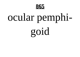

### ocular pemphi-

goid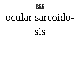

#### ocular sarcoido-

#### SİS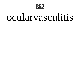

#### ocularvasculitis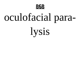

### oculofacial para-

lysis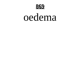

#### oedema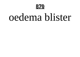

#### oedema blister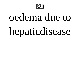#### **871**

# oedema due to

#### hepaticdisease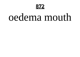

#### oedema mouth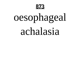

## oesophageal

#### achalasia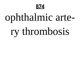

### ophthalmic arte-

### ry thrombosis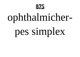

### ophthalmicher-

#### pes simplex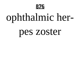

### ophthalmic her-

#### pes zoster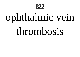

### ophthalmic vein

#### thrombosis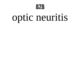

#### optic neuritis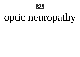

### optic neuropathy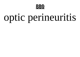

#### optic perineuritis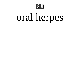

### oral herpes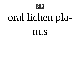

#### oral lichen pla-

nus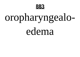

# oropharyngealo-

edema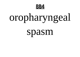

### oropharyngeal

#### spasm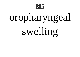

## oropharyngeal swelling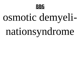

### osmotic demyeli-

### nationsyndrome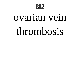

#### ovarian vein

#### thrombosis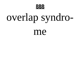

### overlap syndro-

me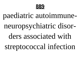

#### paediatric autoimmuneneuropsychiatric disorders associated with streptococcal infection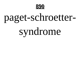

#### paget-schroetter-

### syndrome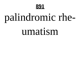

### palindromic rhe-

#### umatism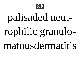

### palisaded neut-

### rophilic granulo-

#### matousdermatitis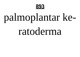

### palmoplantar ke-

#### ratoderma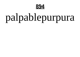

### palpablepurpura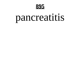

#### pancreatitis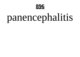

#### panencephalitis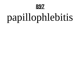

### papillophlebitis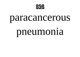

#### paracancerous

#### pneumonia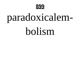

### paradoxicalem-

#### bolism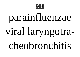

### parainfluenzae

### viral laryngotra-

cheobronchitis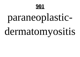#### paraneoplastic-

#### dermatomyositis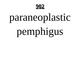

#### paraneoplastic

# pemphigus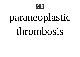

#### paraneoplastic

#### thrombosis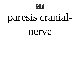

### paresis cranial-

#### nerve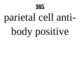

# parietal cell anti-

# body positive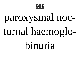

#### paroxysmal noc-

#### turnal haemoglo-

#### hinuria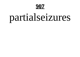#### partialseizures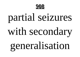

#### partial seizures

#### with secondary

generalisation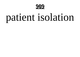

#### patient isolation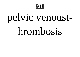

# pelvic venoust-

#### hrombosis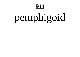## pemphigoid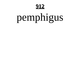## pemphigus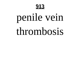# penile vein

#### thrombosis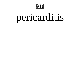

### pericarditis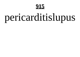## pericarditislupus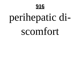# perihepatic di-

#### scomfort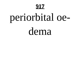# periorbital oe-

dema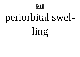

# periorbital swel-

ling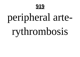

## peripheral arte-

## rythrombosis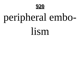

# peripheral embo-

lism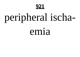

# peripheral ischa-

#### emia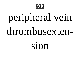

# peripheral vein

#### thrombusexten-

sion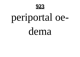

## periportal oe-

dema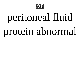

# peritoneal fluid

#### protein abnormal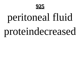

# peritoneal fluid

#### proteindecreased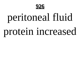

# peritoneal fluid

#### protein increased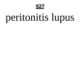

### peritonitis lupus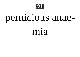

# pernicious anae-

#### mia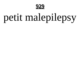

## petit malepilepsy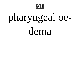

# pharyngeal oe-

dema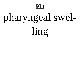

# pharyngeal swel-

ling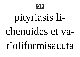

# pityriasis li-

#### chenoides et va-

#### rioliformisacuta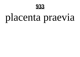

#### placenta praevia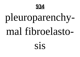

# pleuroparenchy-

#### mal fibroelasto-

SİS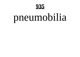

## pneumobilia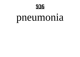

#### pneumonia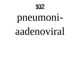

# pneumoni-

#### aadenoviral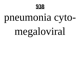

#### pneumonia cyto-

## megaloviral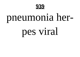

### pneumonia her-

#### pes viral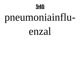

## pneumoniainflu-

#### enzal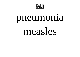

#### pneumonia

#### measles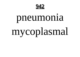

## pneumonia mycoplasmal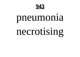

#### pneumonia

#### necrotising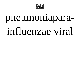

#### pneumoniapara-

#### influenzae viral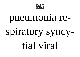

#### pneumonia re-

#### spiratory syncytial viral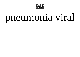

#### pneumonia viral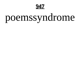

#### poemssyndrome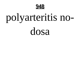

## polyarteritis no-

dosa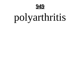

#### polyarthritis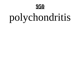

### polychondritis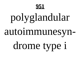

#### autoimmunesyn-

#### drome type i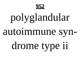

#### autoimmune syn-

#### drome type ii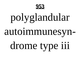

#### autoimmunesyn-

#### drome type iii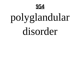

disorder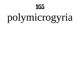

### polymicrogyria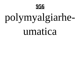

#### polymyalgiarhe-

umatica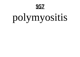#### **957**

#### polymyositis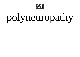

#### polyneuropathy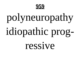

#### polyneuropathy

### idiopathic prog-

ressive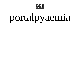

#### portalpyaemia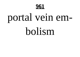

## portal vein em-

#### bolism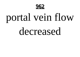

## portal vein flow

#### decreased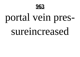

#### portal vein pres-

#### sureincreased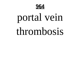

#### portal vein

#### thrombosis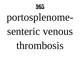

#### portosplenome-

#### senteric venous

#### thrombosis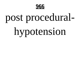

#### post procedural-

#### hypotension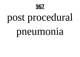

#### post procedural

#### pneumonia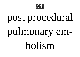

#### post procedural

# pulmonary em-

bolism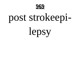

#### post strokeepi-

lepsy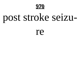

#### post stroke seizu-

re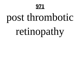#### **971**

### post thrombotic

#### retinopathy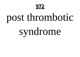#### **972**

## post thrombotic

### syndrome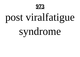

# post viralfatigue

#### syndrome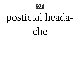

# postictal heada-

che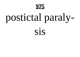

# postictal paraly-

SİS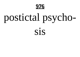

# postictal psycho-

SİS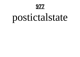### postictalstate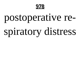

#### postoperative re-

### spiratory distress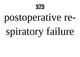

#### postoperative re-

# spiratory failure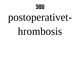

#### postoperativet-

#### hrombosis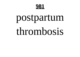

#### postpartum

#### thrombosis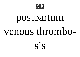

#### postpartum venous thrombo-

SİS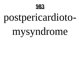

### postpericardioto-

# mysyndrome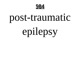

#### post-traumatic

# epilepsy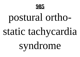

### postural ortho-

#### static tachycardia

#### syndrome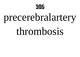

# precerebralartery

#### thrombosis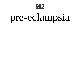

### pre-eclampsia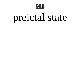

#### preictal state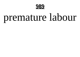

#### premature labour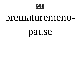

#### prematuremeno-

#### pause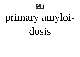

#### primary amyloi-

dosis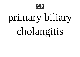

#### primary biliary

#### cholangitis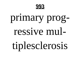

#### primary prog-

#### ressive mul-

tiplesclerosis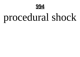

### procedural shock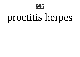

#### proctitis herpes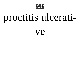

#### proctitis ulcerati-

Ve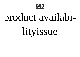

# product availabi-

#### lityissue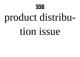

# product distribu-

#### tion issue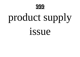

# product supply

issue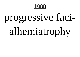

#### progressive faci-

#### alhemiatrophy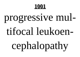

#### progressive mul-

#### tifocal leukoen-

# cephalopathy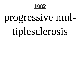

#### progressive mul-

#### tiplesclerosis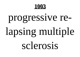

#### progressive re-

# lapsing multiple

sclerosis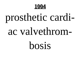

# prosthetic cardi-

#### ac valvethrom-

hosis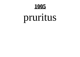#### pruritus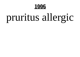### pruritus allergic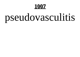# pseudovasculitis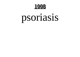

#### psoriasis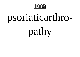## psoriaticarthro-

## pathy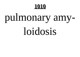

## pulmonary amy-

### loidosis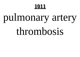## pulmonary artery

### thrombosis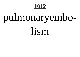## pulmonaryembo-

lism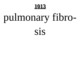

## pulmonary fibro-

#### sis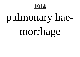

## pulmonary hae-

## morrhage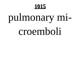## pulmonary mi-

### croemboli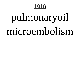## pulmonaryoil

### microembolism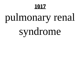## pulmonary renal

## syndrome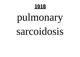## pulmonary sarcoidosis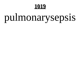## pulmonarysepsis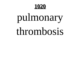## pulmonary

### thrombosis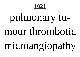## pulmonary tu-

### mour thrombotic

microangiopathy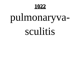

# pulmonaryva-

#### sculitis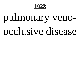

## pulmonary veno-

### occlusive disease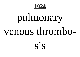

# pulmonary venous thrombo-

SİS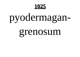

## pyodermagan-

#### grenosum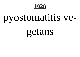

## pyostomatitis ve-

### getans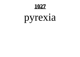## pyrexia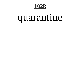

## quarantine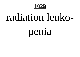

### radiation leuko-

penia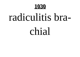

## radiculitis bra-

chial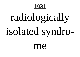

## radiologically isolated syndro-

me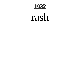

#### rash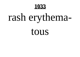

## rash erythema-

tous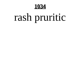**1034**

## rash pruritic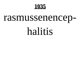

#### rasmussenencep-

### halitis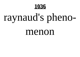

## raynaud's pheno-

#### menon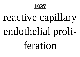

## reactive capillary

## endothelial proli-

feration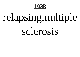

## relapsingmultiple

sclerosis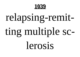

## relapsing-remit-

## ting multiple sc-

### lerosis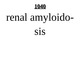

## renal amyloido-

SİS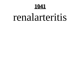**1041**

### renalarteritis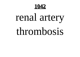

## renal artery

### thrombosis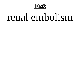

### renal embolism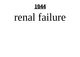**1044**

### renal failure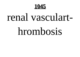

#### renal vasculart-

#### hrombosis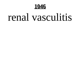

#### renal vasculitis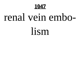1047

### renal vein embo-

lism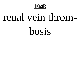

### renal vein throm-

bosis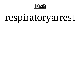

## respiratoryarrest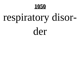

## respiratory disor-

der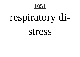

## respiratory di-

stress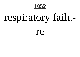

## respiratory failu-

re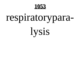

## respiratorypara-

lysis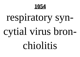**1054**

## respiratory syn-

## cytial virus bron-

#### chiolitis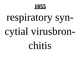## respiratory syn-

## cytial virusbron-

#### chitis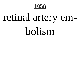

### retinal artery em-

#### bolism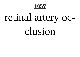**1057**

## retinal artery oc-

#### clusion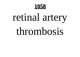

## retinal artery

#### thrombosis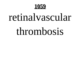

### retinalvascular

#### thrombosis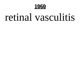

### retinal vasculitis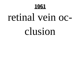

### retinal vein oc-

#### clusion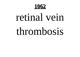

#### retinal vein

#### thrombosis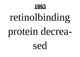

## retinolbinding protein decrea-

sed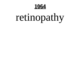**1064**

## retinopathy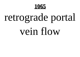

## retrograde portal vein flow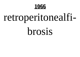

## retroperitonealfi-

#### brosis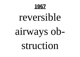#### reversible

## airways ob-

struction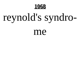

## reynold's syndro-

me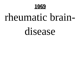

### rheumatic brain-

#### disease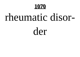### rheumatic disor-

der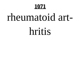### rheumatoid art-

hritis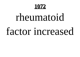### rheumatoid

### factor increased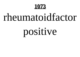### rheumatoidfactor

## positive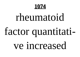

#### rheumatoid

## factor quantitati-

#### ve increased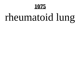## rheumatoid lung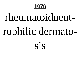# rheumatoidneutrophilic dermato-

sis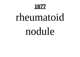## rheumatoid

#### nodule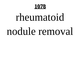## rheumatoid nodule removal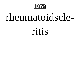

### rheumatoidscle-

ritis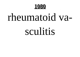

## rheumatoid va-

#### sculitis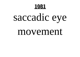

# saccadic eye

#### movement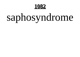

# saphosyndrome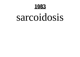

### sarcoidosis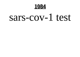1084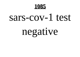

# negative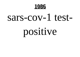

# positive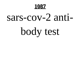#### sars-cov-2 anti-

# body test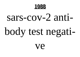

### sars-cov-2 anti-

# body test negati-

Ve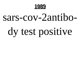

### sars-cov-2antibo-

# dy test positive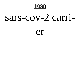

### sars-cov-2 carri-

er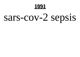

## sars-cov-2 sepsis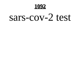1092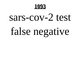

# false negative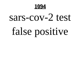**1094**

# false positive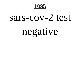

# negative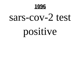

# positive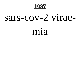

### sars-cov-2 virae-

#### mia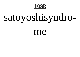

# satoyoshisyndro-

me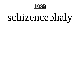

# schizencephaly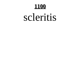

### scleritis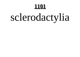# sclerodactylia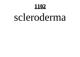### scleroderma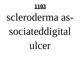### scleroderma as-

# sociateddigital

ulcer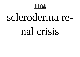

### scleroderma re-

### nal crisis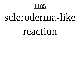### scleroderma-like

#### reaction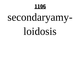# secondaryamy-

### loidosis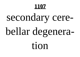# secondary cere-

# bellar degenera-

tion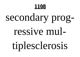# secondary prog-

### ressive mul-

tiplesclerosis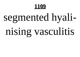# segmented hyali-

# nising vasculitis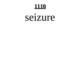#### seizure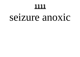#### <u> 1111 </u>

### seizure anoxic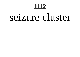### seizure cluster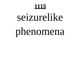### seizurelike

# phenomena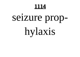# seizure prop-

hylaxis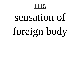# sensation of

# foreign body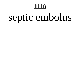#### <u> 1116</u>

# septic embolus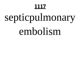## septicpulmonary

### embolism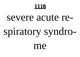### severe acute re-

## spiratory syndro-

me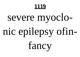#### <u> 1119</u>

## severe myoclo-

## nic epilepsy ofin-

fancy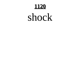

### shock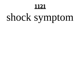## shock symptom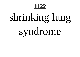## shrinking lung

## syndrome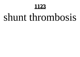### shunt thrombosis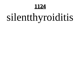## silentthyroiditis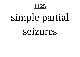## simple partial

seizures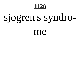

## sjogren's syndro-

me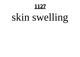## skin swelling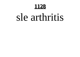### sle arthritis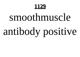

### smoothmuscle

## antibody positive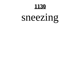

## sneezing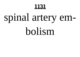## spinal artery em-

### bolism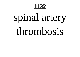

## spinal artery

### thrombosis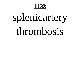## splenicartery

### thrombosis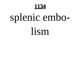

## splenic embo-

lism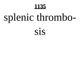## splenic thrombo-

### SIS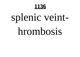## splenic veint-

### hrombosis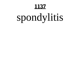## spondylitis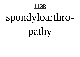## spondyloarthro-

pathy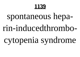## spontaneous heparin-inducedthrombocytopenia syndrome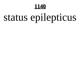

## status epilepticus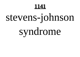

## stevens-johnson

## syndrome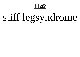

## stiff legsyndrome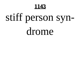

## stiff person syn-

drome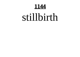**1144**

### stillbirth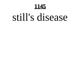

### still's disease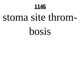1146

### stoma site throm-

bosis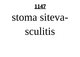1147

## stoma sitevasculitis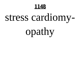

## stress cardiomy-

opathy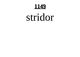

### stridor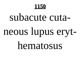

# subacute cutaneous lupus eryt-

hematosus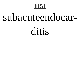### subacuteendocar-

ditis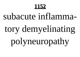### subacute inflamma-

### tory demyelinating

polyneuropathy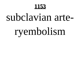### subclavian arte-

# ryembolism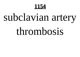

## subclavian artery

### thrombosis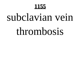### subclavian vein

### thrombosis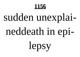# sudden unexplai-

## neddeath in epi-

lepsy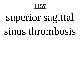## superior sagittal

### sinus thrombosis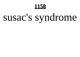

# susac's syndrome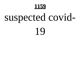

# suspected covid-

19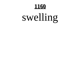

# swelling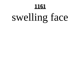# swelling face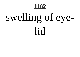

## swelling of eyelid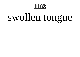# swollen tongue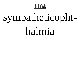**1164**

# sympatheticopht-

### halmia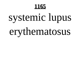## systemic lupus

## erythematosus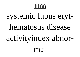## systemic lupus erythematosus disease activityindex abnormal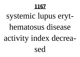## systemic lupus erythematosus disease activity index decreased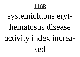## systemiclupus erythematosus disease activity index increased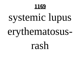## systemic lupus

## erythematosus-

rash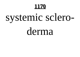# systemic sclero-

### derma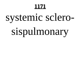# systemic sclero-

# sispulmonary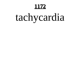# tachycardia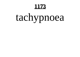# tachypnoea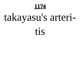

## takayasu's arteri-

### tis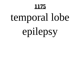## temporal lobe

# epilepsy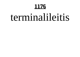### terminalileitis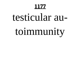### testicular au-

## toimmunity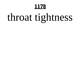# throat tightness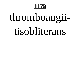# thromboangii-

### tisobliterans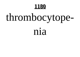# thrombocytope-

### nia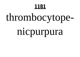# thrombocytope-

## nicpurpura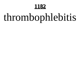# thrombophlebitis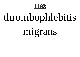# thrombophlebitis

## migrans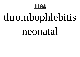

# thrombophlebitis

### neonatal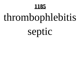# thrombophlebitis

septic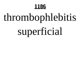# thrombophlebitis

# superficial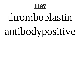# thromboplastin

# antibodypositive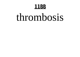### thrombosis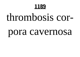

### thrombosis cor-

### pora cavernosa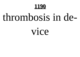

### thrombosis in de-

vice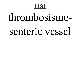### thrombosisme-

### senteric vessel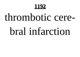### thrombotic cere-

### bral infarction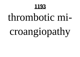### thrombotic mi-

## croangiopathy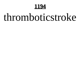1194

### thromboticstroke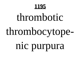### thrombotic

## thrombocytope-

## nic purpura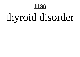

## thyroid disorder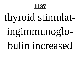## thyroid stimulat-

## ingimmunoglo-

### bulin increased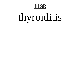

## thyroiditis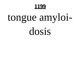

## tongue amyloidosis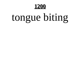

## tongue biting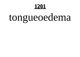## tongueoedema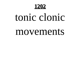### tonic clonic

### movements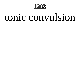### tonic convulsion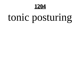1204

## tonic posturing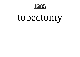### topectomy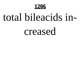

### total bileacids in-

### creased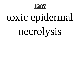## toxic epidermal

## necrolysis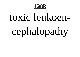

## toxic leukoencephalopathy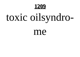## toxic oilsyndro-

me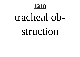### tracheal ob-

### struction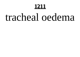#### <u>1211</u>

### tracheal oedema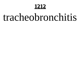### tracheobronchitis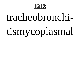### tracheobronchi-

## tismycoplasmal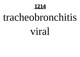

### tracheobronchitis

### viral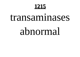### transaminases

### abnormal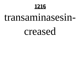### transaminasesin-

### creased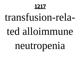# transfusion-rela-

### ted alloimmune

## neutropenia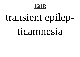## transient epilep-

### ticamnesia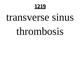### transverse sinus

### thrombosis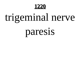

## trigeminal nerve

## paresis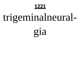

## trigeminalneural-

gia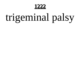

## trigeminal palsy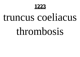

### truncus coeliacus

### thrombosis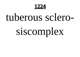

### tuberous sclero-

## siscomplex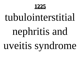

### tubulointerstitial

## nephritis and

## uveitis syndrome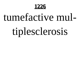

### tumefactive mul-

## tiplesclerosis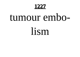1227

### tumour embo-

lism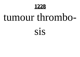

## tumour thrombo-

### SİS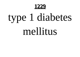

## type 1 diabetes

### mellitus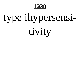

## type ihypersensi-

tivity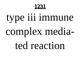

## type iii immune

## complex media-

ted reaction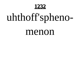1232

## uhthoff'spheno-

### menon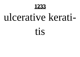

### ulcerative kerati-

tis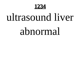

### ultrasound liver

### abnormal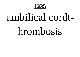

## umbilical cordt-

### hrombosis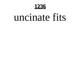1236

### uncinate fits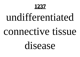**1237**

## undifferentiated

### connective tissue

### disease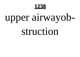1238

## upper airwayob-

### struction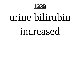

### urine bilirubin

### increased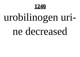

## urobilinogen uri-

### ne decreased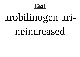1241

## urobilinogen uri-

### neincreased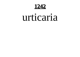1242

### urticaria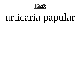

## urticaria papular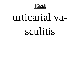1244

# urticarial va-

### sculitis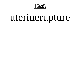<u>1245</u>

## uterinerupture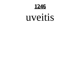1246

### uveitis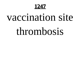**1247**

### vaccination site

### thrombosis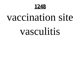**1248**

### vaccination site

### vasculitis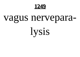

### vagus nervepara-

lysis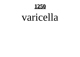**1250**

### varicella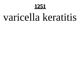#### **1251**

### varicella keratitis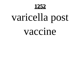**1252**

## varicella post

### vaccine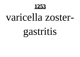

### varicella zoster-

## gastritis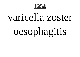**1254**

## varicella zoster

## oesophagitis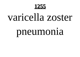

## varicella zoster

## pneumonia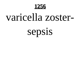

### varicella zoster-

## sepsis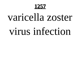

# varicella zoster

### virus infection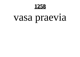1258

## vasa praevia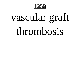

## vascular graft

### thrombosis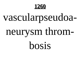

## vascularpseudoa-

## neurysm throm-

bosis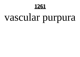

# vascular purpura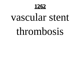1262

# vascular stent

### thrombosis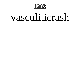

### vasculiticrash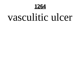1264

### vasculitic ulcer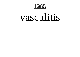

### vasculitis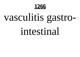

# vasculitis gastro-

### intestinal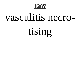

## vasculitis necro-

tising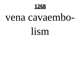

### vena cavaembo-

lism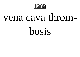

### vena cava throm-

bosis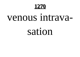

### venous intrava-

sation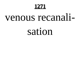### venous recanali-

### sation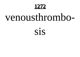# venousthrombo-

### SİS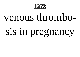### venous thrombo-

# sis in pregnancy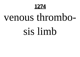

## venous thrombo-

### sis limb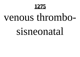### venous thrombo-

### sisneonatal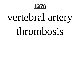

# vertebral artery

### thrombosis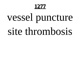# vessel puncture

### site thrombosis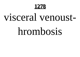## visceral venoust-

### hrombosis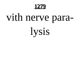

# vith nerve para-

*lysis*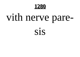

# vith nerve pare-

SİS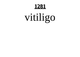# vitiligo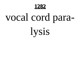

# vocal cord para-

**lysis**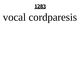

# vocal cordparesis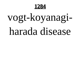1284

# vogt-koyanagiharada disease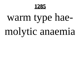# warm type hae-

# molytic anaemia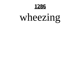

# wheezing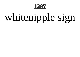# whitenipple sign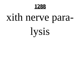

# xith nerve para-

*lysis*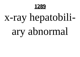

# x-ray hepatobili-

# ary abnormal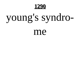

# young's syndro-

me